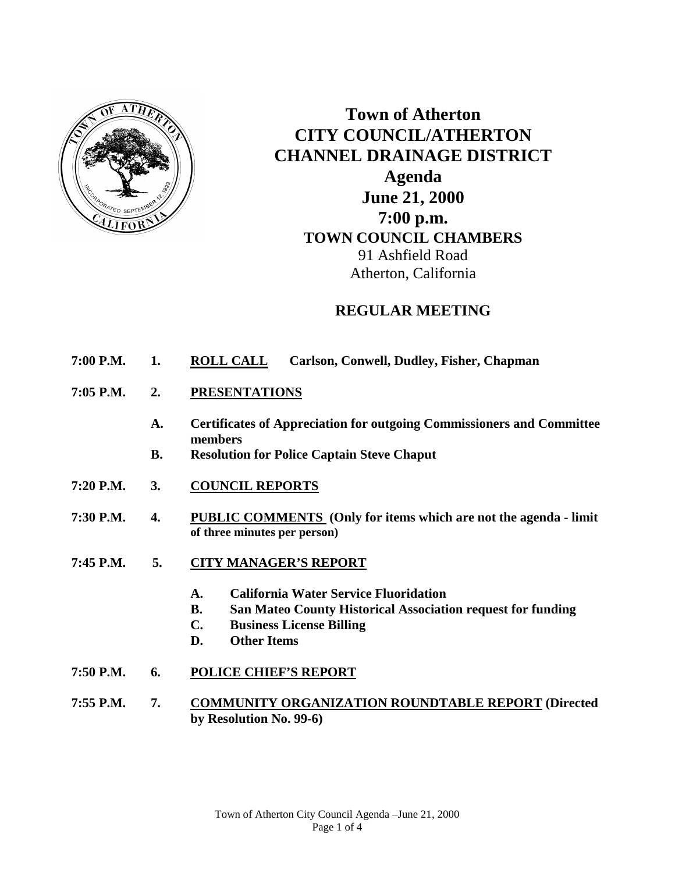

**Town of Atherton CITY COUNCIL/ATHERTON CHANNEL DRAINAGE DISTRICT Agenda June 21, 2000 7:00 p.m. TOWN COUNCIL CHAMBERS** 91 Ashfield Road Atherton, California

## **REGULAR MEETING**

- **7:00 P.M. 1. ROLL CALL Carlson, Conwell, Dudley, Fisher, Chapman**
- **7:05 P.M. 2. PRESENTATIONS**
	- **A. Certificates of Appreciation for outgoing Commissioners and Committee members**
	- **B. Resolution for Police Captain Steve Chaput**
- **7:20 P.M. 3. COUNCIL REPORTS**
- **7:30 P.M. 4. PUBLIC COMMENTS (Only for items which are not the agenda - limit of three minutes per person)**
- **7:45 P.M. 5. CITY MANAGER'S REPORT**
	- **A. California Water Service Fluoridation**
	- **B. San Mateo County Historical Association request for funding**
	- **C. Business License Billing**
	- **D. Other Items**
- **7:50 P.M. 6. POLICE CHIEF'S REPORT**
- **7:55 P.M. 7. COMMUNITY ORGANIZATION ROUNDTABLE REPORT (Directed by Resolution No. 99-6)**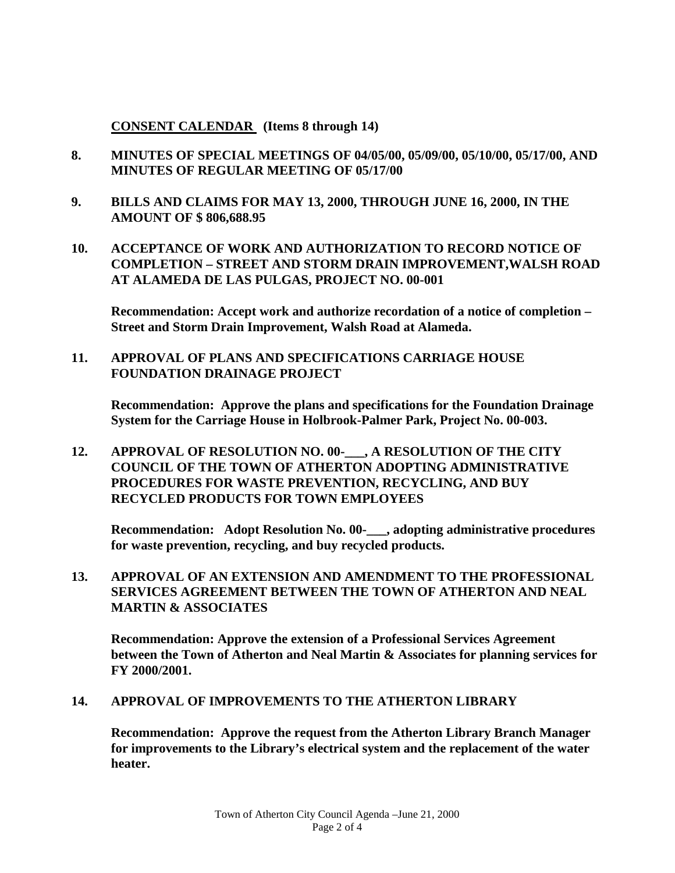**CONSENT CALENDAR (Items 8 through 14)**

- **8. MINUTES OF SPECIAL MEETINGS OF 04/05/00, 05/09/00, 05/10/00, 05/17/00, AND MINUTES OF REGULAR MEETING OF 05/17/00**
- **9. BILLS AND CLAIMS FOR MAY 13, 2000, THROUGH JUNE 16, 2000, IN THE AMOUNT OF \$ 806,688.95**
- **10. ACCEPTANCE OF WORK AND AUTHORIZATION TO RECORD NOTICE OF COMPLETION – STREET AND STORM DRAIN IMPROVEMENT,WALSH ROAD AT ALAMEDA DE LAS PULGAS, PROJECT NO. 00-001**

**Recommendation: Accept work and authorize recordation of a notice of completion – Street and Storm Drain Improvement, Walsh Road at Alameda.** 

**11. APPROVAL OF PLANS AND SPECIFICATIONS CARRIAGE HOUSE FOUNDATION DRAINAGE PROJECT** 

**Recommendation: Approve the plans and specifications for the Foundation Drainage System for the Carriage House in Holbrook-Palmer Park, Project No. 00-003.**

**12. APPROVAL OF RESOLUTION NO. 00-\_\_\_, A RESOLUTION OF THE CITY COUNCIL OF THE TOWN OF ATHERTON ADOPTING ADMINISTRATIVE PROCEDURES FOR WASTE PREVENTION, RECYCLING, AND BUY RECYCLED PRODUCTS FOR TOWN EMPLOYEES**

**Recommendation: Adopt Resolution No. 00-\_\_\_, adopting administrative procedures for waste prevention, recycling, and buy recycled products.**

**13. APPROVAL OF AN EXTENSION AND AMENDMENT TO THE PROFESSIONAL SERVICES AGREEMENT BETWEEN THE TOWN OF ATHERTON AND NEAL MARTIN & ASSOCIATES**

**Recommendation: Approve the extension of a Professional Services Agreement between the Town of Atherton and Neal Martin & Associates for planning services for FY 2000/2001.**

## **14. APPROVAL OF IMPROVEMENTS TO THE ATHERTON LIBRARY**

**Recommendation: Approve the request from the Atherton Library Branch Manager for improvements to the Library's electrical system and the replacement of the water heater.**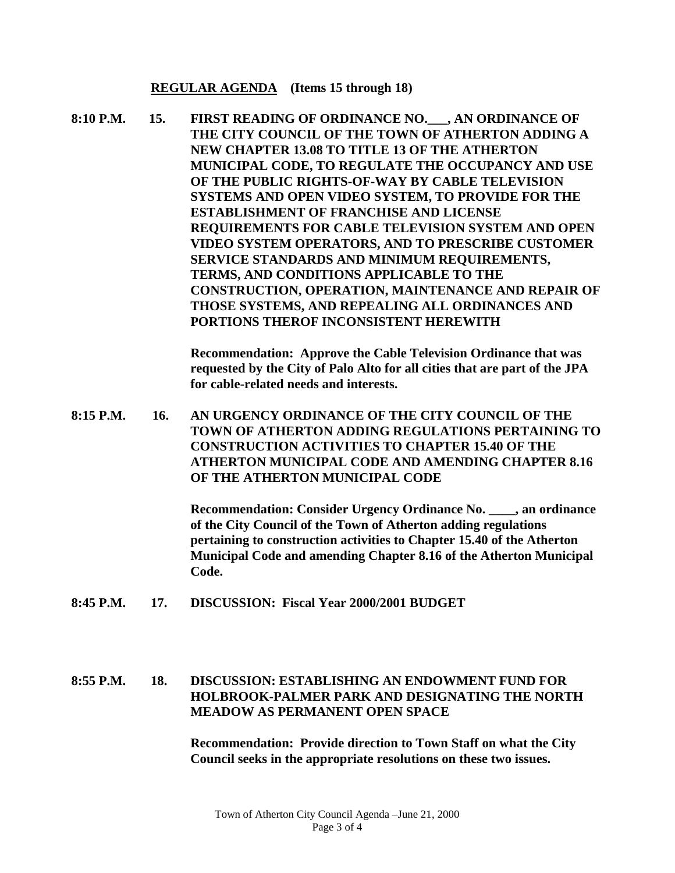**REGULAR AGENDA (Items 15 through 18)**

**8:10 P.M. 15. FIRST READING OF ORDINANCE NO.\_\_\_, AN ORDINANCE OF THE CITY COUNCIL OF THE TOWN OF ATHERTON ADDING A NEW CHAPTER 13.08 TO TITLE 13 OF THE ATHERTON MUNICIPAL CODE, TO REGULATE THE OCCUPANCY AND USE OF THE PUBLIC RIGHTS-OF-WAY BY CABLE TELEVISION SYSTEMS AND OPEN VIDEO SYSTEM, TO PROVIDE FOR THE ESTABLISHMENT OF FRANCHISE AND LICENSE REQUIREMENTS FOR CABLE TELEVISION SYSTEM AND OPEN VIDEO SYSTEM OPERATORS, AND TO PRESCRIBE CUSTOMER SERVICE STANDARDS AND MINIMUM REQUIREMENTS, TERMS, AND CONDITIONS APPLICABLE TO THE CONSTRUCTION, OPERATION, MAINTENANCE AND REPAIR OF THOSE SYSTEMS, AND REPEALING ALL ORDINANCES AND PORTIONS THEROF INCONSISTENT HEREWITH**

> **Recommendation: Approve the Cable Television Ordinance that was requested by the City of Palo Alto for all cities that are part of the JPA for cable-related needs and interests.**

**8:15 P.M. 16. AN URGENCY ORDINANCE OF THE CITY COUNCIL OF THE TOWN OF ATHERTON ADDING REGULATIONS PERTAINING TO CONSTRUCTION ACTIVITIES TO CHAPTER 15.40 OF THE ATHERTON MUNICIPAL CODE AND AMENDING CHAPTER 8.16 OF THE ATHERTON MUNICIPAL CODE**

> **Recommendation: Consider Urgency Ordinance No. \_\_\_\_, an ordinance of the City Council of the Town of Atherton adding regulations pertaining to construction activities to Chapter 15.40 of the Atherton Municipal Code and amending Chapter 8.16 of the Atherton Municipal Code.**

**8:45 P.M. 17. DISCUSSION: Fiscal Year 2000/2001 BUDGET**

**8:55 P.M. 18. DISCUSSION: ESTABLISHING AN ENDOWMENT FUND FOR HOLBROOK-PALMER PARK AND DESIGNATING THE NORTH MEADOW AS PERMANENT OPEN SPACE**

> **Recommendation: Provide direction to Town Staff on what the City Council seeks in the appropriate resolutions on these two issues.**